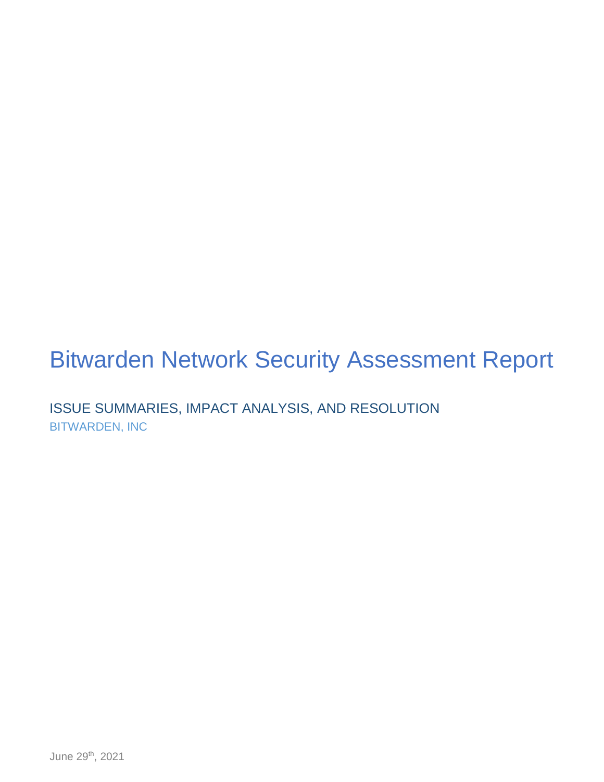# Bitwarden Network Security Assessment Report

ISSUE SUMMARIES, IMPACT ANALYSIS, AND RESOLUTION BITWARDEN, INC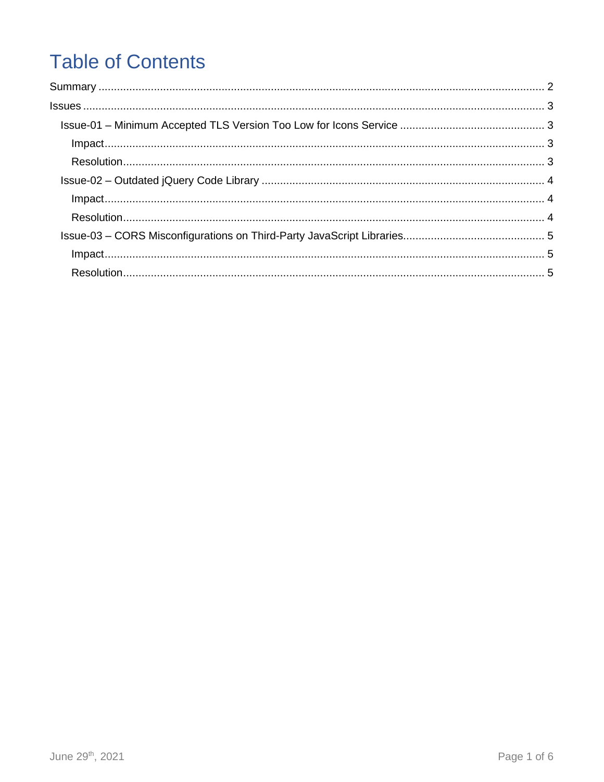# **Table of Contents**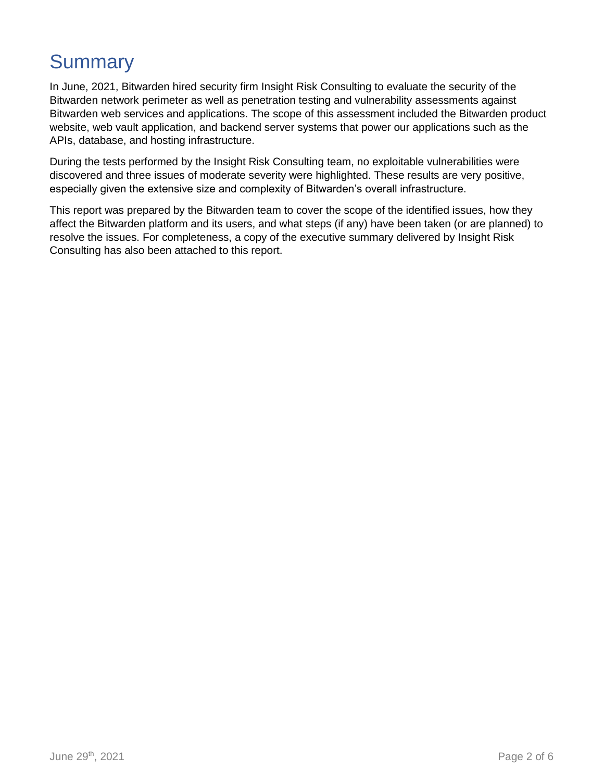## **Summary**

In June, 2021, Bitwarden hired security firm Insight Risk Consulting to evaluate the security of the Bitwarden network perimeter as well as penetration testing and vulnerability assessments against Bitwarden web services and applications. The scope of this assessment included the Bitwarden product website, web vault application, and backend server systems that power our applications such as the APIs, database, and hosting infrastructure.

During the tests performed by the Insight Risk Consulting team, no exploitable vulnerabilities were discovered and three issues of moderate severity were highlighted. These results are very positive, especially given the extensive size and complexity of Bitwarden's overall infrastructure.

This report was prepared by the Bitwarden team to cover the scope of the identified issues, how they affect the Bitwarden platform and its users, and what steps (if any) have been taken (or are planned) to resolve the issues. For completeness, a copy of the executive summary delivered by Insight Risk Consulting has also been attached to this report.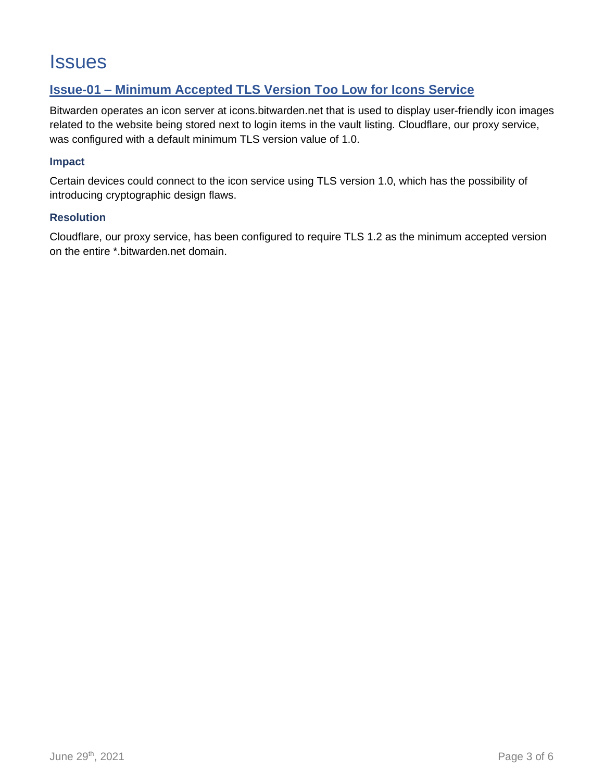## **Issues**

## **Issue-01 – Minimum Accepted TLS Version Too Low for Icons Service**

Bitwarden operates an icon server at icons.bitwarden.net that is used to display user-friendly icon images related to the website being stored next to login items in the vault listing. Cloudflare, our proxy service, was configured with a default minimum TLS version value of 1.0.

#### **Impact**

Certain devices could connect to the icon service using TLS version 1.0, which has the possibility of introducing cryptographic design flaws.

### **Resolution**

Cloudflare, our proxy service, has been configured to require TLS 1.2 as the minimum accepted version on the entire \*.bitwarden.net domain.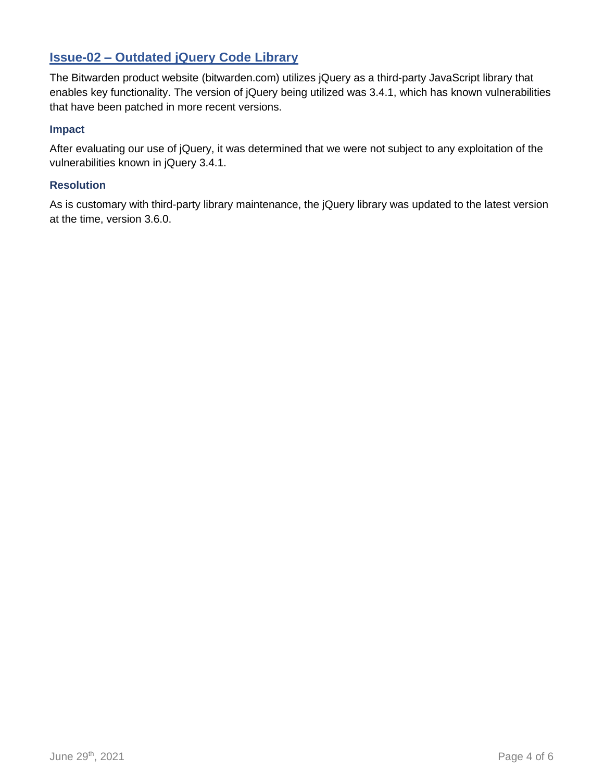## **Issue-02 – Outdated jQuery Code Library**

The Bitwarden product website (bitwarden.com) utilizes jQuery as a third-party JavaScript library that enables key functionality. The version of jQuery being utilized was 3.4.1, which has known vulnerabilities that have been patched in more recent versions.

### **Impact**

After evaluating our use of jQuery, it was determined that we were not subject to any exploitation of the vulnerabilities known in jQuery 3.4.1.

## **Resolution**

As is customary with third-party library maintenance, the jQuery library was updated to the latest version at the time, version 3.6.0.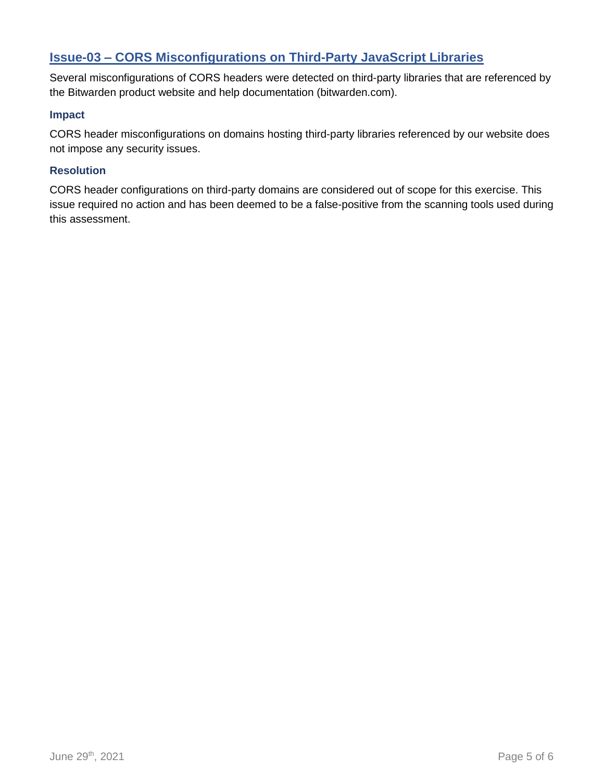## **Issue-03 – CORS Misconfigurations on Third-Party JavaScript Libraries**

Several misconfigurations of CORS headers were detected on third-party libraries that are referenced by the Bitwarden product website and help documentation (bitwarden.com).

#### **Impact**

CORS header misconfigurations on domains hosting third-party libraries referenced by our website does not impose any security issues.

### **Resolution**

CORS header configurations on third-party domains are considered out of scope for this exercise. This issue required no action and has been deemed to be a false-positive from the scanning tools used during this assessment.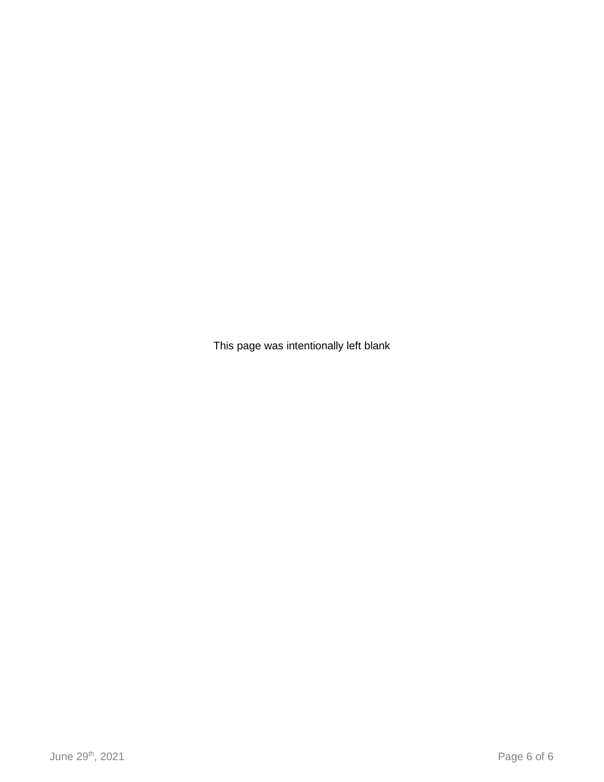This page was intentionally left blank